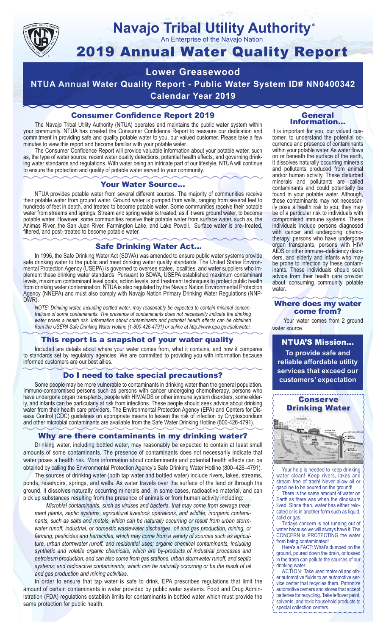

## **Navajo Tribal Utility Authority** ®

An Enterprise of the Navajo Nation

# 2019 Annual Water Quality Report

# **Lower Greasewood**

**NTUA Annual Water Quality Report - Public Water System ID# NN0400342 Calendar Year 2019**

# Consumer Confidence Report 2019

The Navajo Tribal Utility Authority (NTUA) operates and maintains the public water system within your community. NTUA has created the Consumer Confidence Report to reassure our dedication and commitment in providing safe and quality potable water to you, our valued customer. Please take a few minutes to view this report and become familiar with your potable water.

The Consumer Confidence Report will provide valuable information about your potable water, such as, the type of water source, recent water quality detections, potential health effects, and governing drinking water standards and regulations. With water being an intricate part of our lifestyle, NTUA will continue to ensure the protection and quality of potable water served to your community.

#### Your Water Source…

NTUA provides potable water from several different sources. The majority of communities receive their potable water from ground water. Ground water is pumped from wells, ranging from several feet to hundreds of feet in depth, and treated to become potable water. Some communities receive their potable water from streams and springs. Stream and spring water is treated, as if it were ground water, to become potable water. However, some communities receive their potable water from surface water, such as, the Animas River, the San Juan River, Farmington Lake, and Lake Powell. Surface water is pre–treated, filtered, and post–treated to become potable water.

## Safe Drinking Water Act…

In 1996, the Safe Drinking Water Act (SDWA) was amended to ensure public water systems provide safe drinking water to the public and meet drinking water quality standards. The United States Environmental Protection Agency (USEPA) is governed to oversee states, localities, and water suppliers who implement these drinking water standards. Pursuant to SDWA, USEPA established maximum contaminant levels, maximum contaminant level goals, action levels, and treatment techniques to protect public health from drinking water contamination. NTUA is also regulated by the Navajo Nation Environmental Protection Agency (NNEPA) and must also comply with Navajo Nation Primary Drinking Water Regulations (NNP-DWR)

*NOTE: Drinking water, including bottled water, may reasonably be expected to contain minimal concentrations of some contaminants. The presence of contaminants does not necessarily indicate the drinking water poses a health risk. Information about contaminants and potential health effects can be obtained from the USEPA Safe Drinking Water Hotline (1-800-426-4791) or online at http://www.epa.gov/safewater.*

## This report is a snapshot of your water quality

Included are details about where your water comes from, what it contains, and how it compares to standards set by regulatory agencies. We are committed to providing you with information because informed customers are our best allies.

## Do I need to take special precautions?

Some people may be more vulnerable to contaminants in drinking water than the general population. Immuno-compromised persons such as persons with cancer undergoing chemotherapy, persons who have undergone organ transplants, people with HIV/AIDS or other immune system disorders, some elderly, and infants can be particularly at risk from infections. These people should seek advice about drinking water from their health care providers. The Environmental Protection Agency (EPA) and Centers for Disease Control (CDC) guidelines on appropriate means to lessen the risk of infection by Cryptosporidium and other microbial contaminants are available from the Safe Water Drinking Hotline (800-426-4791).

## Why are there contaminants in my drinking water?

Drinking water, including bottled water, may reasonably be expected to contain at least small amounts of some contaminants. The presence of contaminants does not necessarily indicate that water poses a health risk. More information about contaminants and potential health effects can be obtained by calling the Environmental Protection Agency's Safe Drinking Water Hotline (800–426–4791).

The sources of drinking water (both tap water and bottled water) include rivers, lakes, streams, ponds, reservoirs, springs, and wells. As water travels over the surface of the land or through the ground, it dissolves naturally occurring minerals and, in some cases, radioactive material, and can pick up substances resulting from the presence of animals or from human activity including:

*Microbial contaminants, such as viruses and bacteria, that may come from sewage treatment plants, septic systems, agricultural livestock operations, and wildlife; inorganic contaminants, such as salts and metals, which can be naturally occurring or result from urban stormwater runoff, industrial, or domestic wastewater discharges, oil and gas production, mining, or farming; pesticides and herbicides, which may come from a variety of sources such as agriculture, urban stormwater runoff, and residential uses; organic chemical contaminants, including synthetic and volatile organic chemicals, which are by-products of industrial processes and petroleum production, and can also come from gas stations, urban stormwater runoff, and septic systems; and radioactive contaminants, which can be naturally occurring or be the result of oil and gas production and mining activities.*

In order to ensure that tap water is safe to drink, EPA prescribes regulations that limit the amount of certain contaminants in water provided by public water systems. Food and Drug Administration (FDA) regulations establish limits for contaminants in bottled water which must provide the same protection for public health.

#### General Information…

It is important for you, our valued customer, to understand the potential occurrence and presence of contaminants within your potable water. As water flows on or beneath the surface of the earth, it dissolves naturally occurring minerals and pollutants produced from animal and/or human activity. These disturbed minerals and pollutants are called contaminants and could potentially be found in your potable water. Although, these contaminants may not necessarily pose a health risk to you, they may be of a particular risk to individuals with compromised immune systems. These individuals include persons diagnosed with cancer and undergoing chemo-<br>therapy, persons who have undergone organ transplants, persons with HIV/ AIDS or other immune–deficiency disor- ders, and elderly and infants who may be prone to infection by these contam- inants. These individuals should seek advice from their health care provider about consuming community potable water.

#### Where does my water come from?

Your water comes from 2 ground water source.

NTUA'S Mission... **To provide safe and reliable affordable utility services that exceed our customers' expectation**



Your help is needed to keep drinking water clean! Keep rivers, lakes and stream free of trash! Never allow oil or gasoline to be poured on the ground!

There is the same amount of water on Earth as there was when the dinosaurs lived. Since then, water has either relocated or is in another form such as liquid, solid or gas.

Todays concern is not running out of water because we will always have it. The CONCERN is PROTECTING the water from being contaminated!

Here's a FACT: What's dumped on the ground, poured down the drain, or tossed in the trash can pollute the sources of our drinking water.

ACTION: Take used motor oil and other automotive fluids to an automotive service center that recycles them. Patronize automotive centers and stores that accept batteries for recycling. Take leftover paint, solvents, and toxic household products to special collection centers.